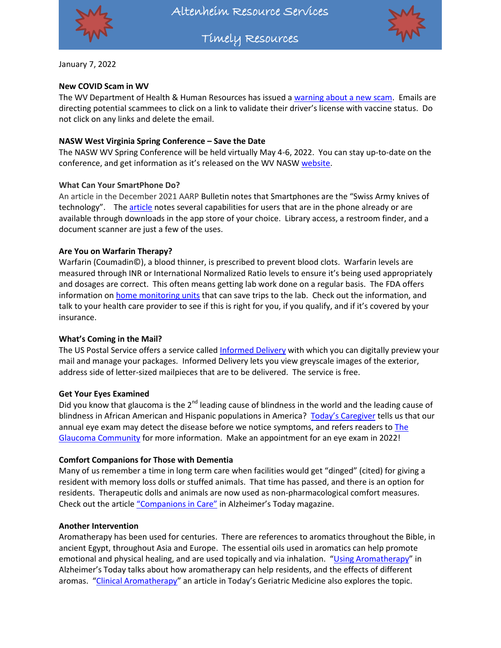

Altenheim Resource Services

Timely Resources



January 7, 2022

## **New COVID Scam in WV**

The WV Department of Health & Human Resources has issued [a warning about a new scam.](https://www.wvnstv.com/news/scam-alert-dhhr-warns-of-fraudulent-text-message-regarding-vaccine-status/) Emails are directing potential scammees to click on a link to validate their driver's license with vaccine status. Do not click on any links and delete the email.

## **NASW West Virginia Spring Conference – Save the Date**

The NASW WV Spring Conference will be held virtually May 4-6, 2022. You can stay up-to-date on the conference, and get information as it's released on the WV NAS[W website.](https://naswwv.socialworkers.org/Events/Spring-Conference)

## **What Can Your SmartPhone Do?**

An article in the December 2021 AARP Bulletin notes that Smartphones are the "Swiss Army knives of technology". The [article](https://www.aarp.org/home-family/personal-technology/info-2021/things-your-smarphone-can-do.html) notes several capabilities for users that are in the phone already or are available through downloads in the app store of your choice. Library access, a restroom finder, and a document scanner are just a few of the uses.

### **Are You on Warfarin Therapy?**

Warfarin (Coumadin©), a blood thinner, is prescribed to prevent blood clots. Warfarin levels are measured through INR or International Normalized Ratio levels to ensure it's being used appropriately and dosages are correct. This often means getting lab work done on a regular basis. The FDA offers information o[n home monitoring units](https://www.fda.gov/medical-devices/in-vitro-diagnostics/warfarin-inr-test-meters) that can save trips to the lab. Check out the information, and talk to your health care provider to see if this is right for you, if you qualify, and if it's covered by your insurance.

#### **What's Coming in the Mail?**

The US Postal Service offers a service calle[d Informed Delivery](https://informeddelivery.usps.com/box/pages/intro/start.action#/) with which you can digitally preview your mail and manage your packages. Informed Delivery lets you view greyscale images of the exterior, address side of letter-sized mailpieces that are to be delivered. The service is free.

## **Get Your Eyes Examined**

Did you know that glaucoma is the  $2^{nd}$  leading cause of blindness in the world and the leading cause of blindness in African American and Hispanic populations in America? [Today's Caregiver](https://caregiver.com/articles/new-years-eye-exam/) tells us that our annual eye exam may detect the disease before we notice symptoms, and refers readers to *The* [Glaucoma Community](https://responsumhealth.com/glaucoma/) for more information. Make an appointment for an eye exam in 2022!

#### **Comfort Companions for Those with Dementia**

Many of us remember a time in long term care when facilities would get "dinged" (cited) for giving a resident with memory loss dolls or stuffed animals. That time has passed, and there is an option for residents. Therapeutic dolls and animals are now used as non-pharmacological comfort measures. Check out the article ["Companions in Care"](https://alzfdn.org/wp-content/uploads/2021/11/Alz.-Today-Vol.-16-No.-2-web.pdf) in Alzheimer's Today magazine.

## **Another Intervention**

Aromatherapy has been used for centuries. There are references to aromatics throughout the Bible, in ancient Egypt, throughout Asia and Europe. The essential oils used in aromatics can help promote emotional and physical healing, and are used topically and via inhalation. "[Using Aromatherapy](https://alzfdn.org/wp-content/uploads/2021/11/Alz.-Today-Vol.-16-No.-2-web.pdf)" in Alzheimer's Today talks about how aromatherapy can help residents, and the effects of different aromas. "[Clinical Aromatherapy](https://www.todaysgeriatricmedicine.com/archive/0714p30.shtml)" an article in Today's Geriatric Medicine also explores the topic.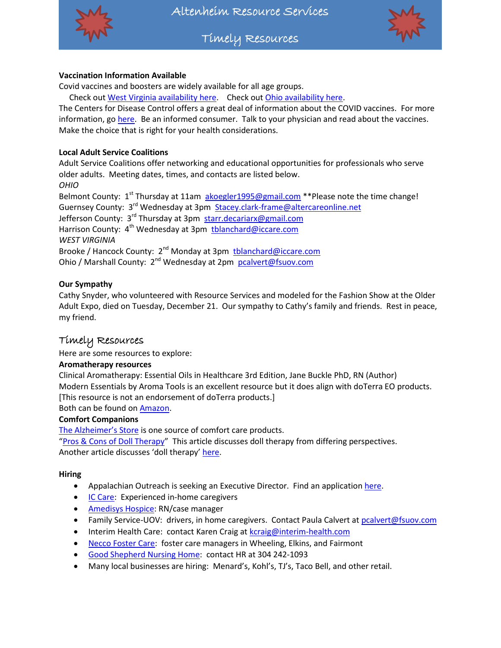

Timely Resources



## **Vaccination Information Available**

Covid vaccines and boosters are widely available for all age groups.

Check ou[t West Virginia availability here.](https://dhhr.wv.gov/COVID-19/Pages/Vaccine.aspx) Check out [Ohio availability here.](https://coronavirus.ohio.gov/wps/portal/gov/covid-19/covid-19-vaccination-program)

The Centers for Disease Control offers a great deal of information about the COVID vaccines. For more information, go [here.](https://www.cdc.gov/coronavirus/2019-ncov/vaccines/index.html) Be an informed consumer. Talk to your physician and read about the vaccines. Make the choice that is right for your health considerations.

## **Local Adult Service Coalitions**

Adult Service Coalitions offer networking and educational opportunities for professionals who serve older adults. Meeting dates, times, and contacts are listed below. *OHIO*

Belmont County:  $1<sup>st</sup>$  Thursday at 11am [akoegler1995@gmail.com](mailto:akoegler1995@gmail.com) \*\*Please note the time change! Guernsey County: 3<sup>rd</sup> Wednesday at 3pm [Stacey.clark-frame@altercareonline.net](mailto:Stacey.clark-frame@altercareonline.net) Jefferson County: 3<sup>rd</sup> Thursday at 3pm [starr.decariarx@gmail.com](mailto:starr.decariarx@gmail.com) Harrison County: 4<sup>th</sup> Wednesday at 3pm thlanchard@iccare.com *WEST VIRGINIA* Brooke / Hancock County: 2<sup>nd</sup> Monday at 3pm thanchard@iccare.com Ohio / Marshall County: 2<sup>nd</sup> Wednesday at 2pm [pcalvert@fsuov.com](mailto:pcalvert@fsuov.com)

**Our Sympathy**

Cathy Snyder, who volunteered with Resource Services and modeled for the Fashion Show at the Older Adult Expo, died on Tuesday, December 21. Our sympathy to Cathy's family and friends. Rest in peace, my friend.

## Timely Resources

Here are some resources to explore:

## **Aromatherapy resources**

Clinical Aromatherapy: Essential Oils in Healthcare 3rd Edition, Jane Buckle PhD, RN (Author) Modern Essentials by Aroma Tools is an excellent resource but it does align with doTerra EO products. [This resource is not an endorsement of doTerra products.]

Both can be found o[n Amazon.](https://www.amazon.com/)

## **Comfort Companions**

[The Alzheimer's Store](https://www.alzstore.com/doll-pet-therapy-dementia-s/1516.htm) is one source of comfort care products.

"[Pros & Cons of Doll Therapy](https://www.verywellhealth.com/therapeutic-doll-therapy-in-dementia-4155803)" This article discusses doll therapy from differing perspectives. Another article discusses 'doll therapy' [here.](https://dailycaring.com/the-positive-effect-of-therapy-dolls-for-dementia/)

## **Hiring**

- Appalachian Outreach is seeking an Executive Director. Find an applicatio[n here.](http://www.appalachianoutreaching.org/wp-content/uploads/2021/06/application.pdf)
- **[IC Care:](http://www.iccare.com/hiring/) Experienced in-home caregivers**
- [Amedisys Hospice:](https://www.amedisys.com/recruitics/job/st-clairsville-ohio-hospice-case-manager-registered-nurse-610df03abf46394d252dd2ce) RN/case manager
- Family Service-UOV: drivers, in home caregivers. Contact Paula Calvert a[t pcalvert@fsuov.com](mailto:pcalvert@fsuov.com)
- Interim Health Care: contact Karen Craig at [kcraig@interim-health.com](mailto:kcraig@interim-health.com)
- [Necco Foster Care:](https://www.necco.org/careers-with-social-impact) foster care managers in Wheeling, Elkins, and Fairmont
- [Good Shepherd Nursing Home:](https://weltyhome.org/) contact HR at 304 242-1093
- Many local businesses are hiring: Menard's, Kohl's, TJ's, Taco Bell, and other retail.